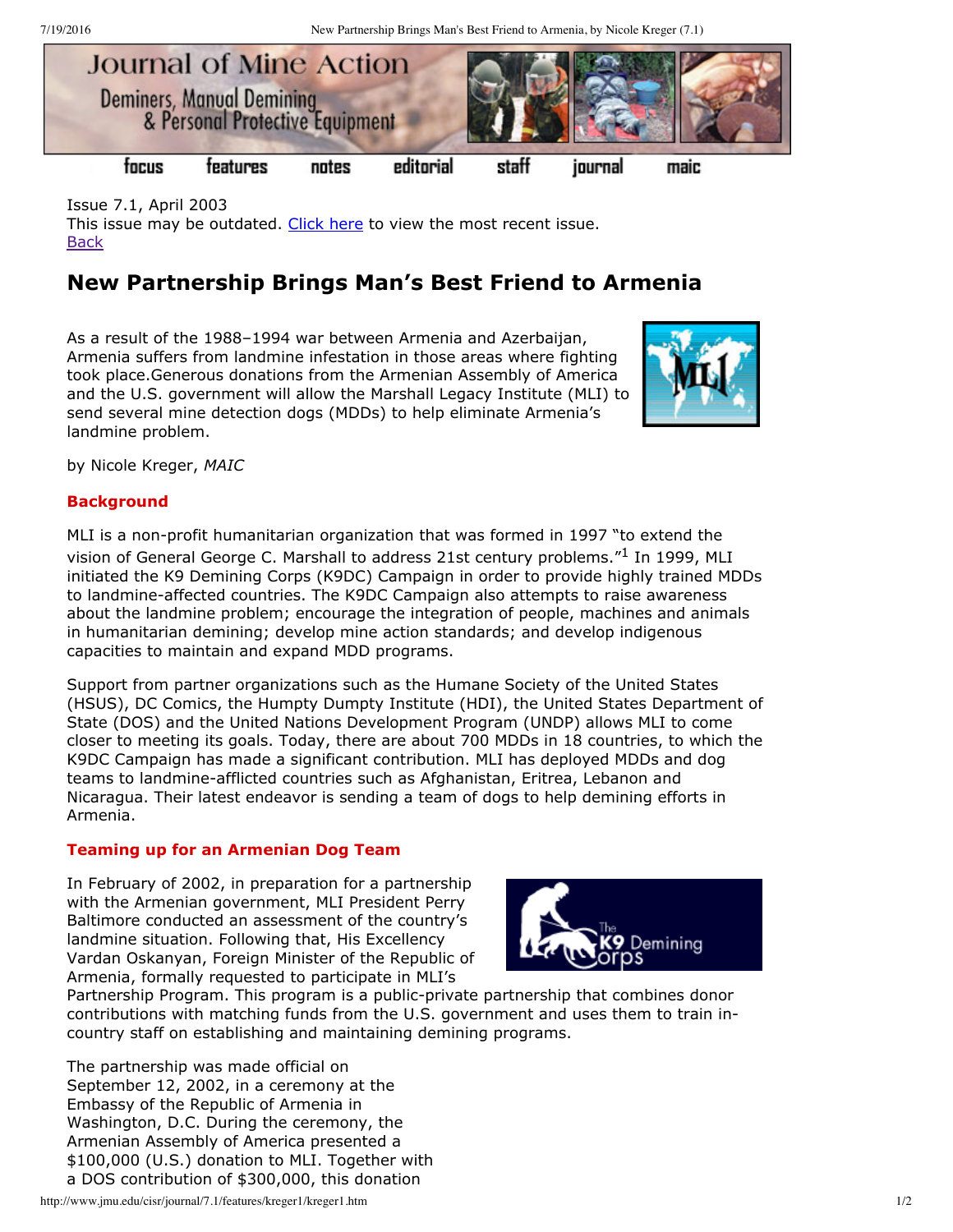7/19/2016 New Partnership Brings Man's Best Friend to Armenia, by Nicole Kreger (7.1)



Issue 7.1, April 2003 This issue may be outdated. [Click](http://www.jmu.edu/cisr/journal/current.shtml) here to view the most recent issue. **[Back](http://www.jmu.edu/cisr/journal/7.1/index.htm)** 

# **New Partnership Brings Man's Best Friend to Armenia**

As a result of the 1988–1994 war between Armenia and Azerbaijan, Armenia suffers from landmine infestation in those areas where fighting took place.Generous donations from the Armenian Assembly of America and the U.S. government will allow the Marshall Legacy Institute (MLI) to send several mine detection dogs (MDDs) to help eliminate Armenia's landmine problem.



by Nicole Kreger, *MAIC*

## **Background**

MLI is a non-profit humanitarian organization that was formed in 1997 "to extend the vision of General George C. Marshall to address 21st century problems."<sup>1</sup> In 1999, MLI initiated the K9 Demining Corps (K9DC) Campaign in order to provide highly trained MDDs to landmine-affected countries. The K9DC Campaign also attempts to raise awareness about the landmine problem; encourage the integration of people, machines and animals in humanitarian demining; develop mine action standards; and develop indigenous capacities to maintain and expand MDD programs.

Support from partner organizations such as the Humane Society of the United States (HSUS), DC Comics, the Humpty Dumpty Institute (HDI), the United States Department of State (DOS) and the United Nations Development Program (UNDP) allows MLI to come closer to meeting its goals. Today, there are about 700 MDDs in 18 countries, to which the K9DC Campaign has made a significant contribution. MLI has deployed MDDs and dog teams to landmine-afflicted countries such as Afghanistan, Eritrea, Lebanon and Nicaragua. Their latest endeavor is sending a team of dogs to help demining efforts in Armenia.

### **Teaming up for an Armenian Dog Team**

In February of 2002, in preparation for a partnership with the Armenian government, MLI President Perry Baltimore conducted an assessment of the country's landmine situation. Following that, His Excellency Vardan Oskanyan, Foreign Minister of the Republic of Armenia, formally requested to participate in MLI's



Partnership Program. This program is a public-private partnership that combines donor contributions with matching funds from the U.S. government and uses them to train incountry staff on establishing and maintaining demining programs.

The partnership was made official on September 12, 2002, in a ceremony at the Embassy of the Republic of Armenia in Washington, D.C. During the ceremony, the Armenian Assembly of America presented a \$100,000 (U.S.) donation to MLI. Together with a DOS contribution of \$300,000, this donation